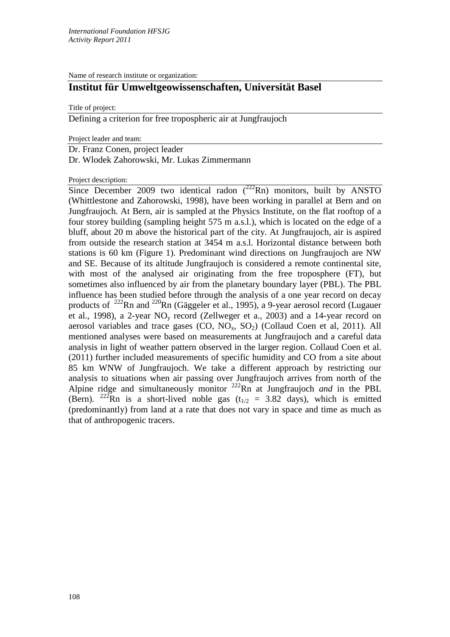Name of research institute or organization:

## **Institut für Umweltgeowissenschaften, Universität Basel**

Title of project:

Defining a criterion for free tropospheric air at Jungfraujoch

Project leader and team:

Dr. Franz Conen, project leader

Dr. Wlodek Zahorowski, Mr. Lukas Zimmermann

Project description:

Since December 2009 two identical radon  $(^{222}Rn)$  monitors, built by ANSTO (Whittlestone and Zahorowski, 1998), have been working in parallel at Bern and on Jungfraujoch. At Bern, air is sampled at the Physics Institute, on the flat rooftop of a four storey building (sampling height 575 m a.s.l.), which is located on the edge of a bluff, about 20 m above the historical part of the city. At Jungfraujoch, air is aspired from outside the research station at 3454 m a.s.l. Horizontal distance between both stations is 60 km (Figure 1). Predominant wind directions on Jungfraujoch are NW and SE. Because of its altitude Jungfraujoch is considered a remote continental site, with most of the analysed air originating from the free troposphere (FT), but sometimes also influenced by air from the planetary boundary layer (PBL). The PBL influence has been studied before through the analysis of a one year record on decay products of  $^{222}$ Rn and  $^{220}$ Rn (Gäggeler et al., 1995), a 9-year aerosol record (Lugauer et al., 1998), a 2-year  $NO<sub>v</sub>$  record (Zellweger et a., 2003) and a 14-year record on aerosol variables and trace gases  $(CO, NO<sub>x</sub>, SO<sub>2</sub>)$  (Collaud Coen et al, 2011). All mentioned analyses were based on measurements at Jungfraujoch and a careful data analysis in light of weather pattern observed in the larger region. Collaud Coen et al. (2011) further included measurements of specific humidity and CO from a site about 85 km WNW of Jungfraujoch. We take a different approach by restricting our analysis to situations when air passing over Jungfraujoch arrives from north of the Alpine ridge and simultaneously monitor 222Rn at Jungfraujoch *and* in the PBL (Bern). <sup>222</sup>Rn is a short-lived noble gas ( $t_{1/2}$  = 3.82 days), which is emitted (predominantly) from land at a rate that does not vary in space and time as much as that of anthropogenic tracers.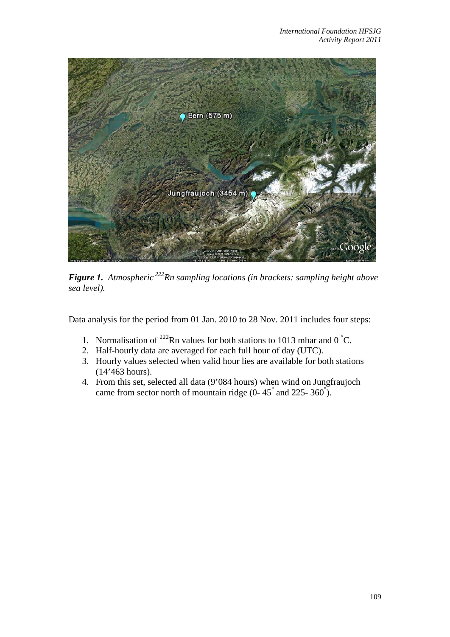

*Figure 1. Atmospheric 222Rn sampling locations (in brackets: sampling height above sea level).*

Data analysis for the period from 01 Jan. 2010 to 28 Nov. 2011 includes four steps:

- 1. Normalisation of <sup>222</sup>Rn values for both stations to 1013 mbar and 0  $\degree$ C.
- 2. Half-hourly data are averaged for each full hour of day (UTC).
- 3. Hourly values selected when valid hour lies are available for both stations (14'463 hours).
- 4. From this set, selected all data (9'084 hours) when wind on Jungfraujoch came from sector north of mountain ridge (0- $45^{\degree}$  and 225-360 $^{\degree}$ ).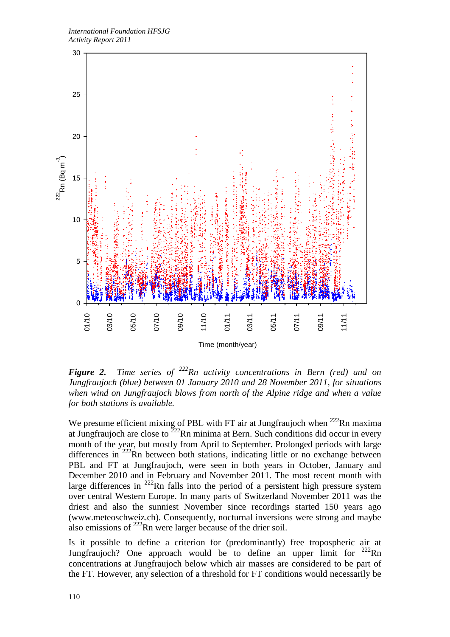

*Figure 2. Time series of 222Rn activity concentrations in Bern (red) and on Jungfraujoch (blue) between 01 January 2010 and 28 November 2011, for situations when wind on Jungfraujoch blows from north of the Alpine ridge and when a value for both stations is available.*

We presume efficient mixing of PBL with FT air at Jungfraujoch when  $^{222}$ Rn maxima at Jungfraujoch are close to  $2^{22}$ Rn minima at Bern. Such conditions did occur in every month of the year, but mostly from April to September. Prolonged periods with large differences in  $^{222}$ Rn between both stations, indicating little or no exchange between PBL and FT at Jungfraujoch, were seen in both years in October, January and December 2010 and in February and November 2011. The most recent month with large differences in  $^{222}$ Rn falls into the period of a persistent high pressure system over central Western Europe. In many parts of Switzerland November 2011 was the driest and also the sunniest November since recordings started 150 years ago (www.meteoschweiz.ch). Consequently, nocturnal inversions were strong and maybe also emissions of  $^{222}$ Rn were larger because of the drier soil.

Is it possible to define a criterion for (predominantly) free tropospheric air at Jungfraujoch? One approach would be to define an upper limit for  $^{222}$ Rn concentrations at Jungfraujoch below which air masses are considered to be part of the FT. However, any selection of a threshold for FT conditions would necessarily be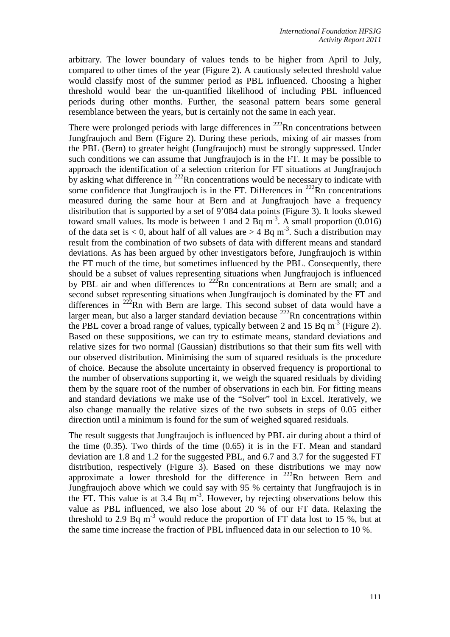arbitrary. The lower boundary of values tends to be higher from April to July, compared to other times of the year (Figure 2). A cautiously selected threshold value would classify most of the summer period as PBL influenced. Choosing a higher threshold would bear the un-quantified likelihood of including PBL influenced periods during other months. Further, the seasonal pattern bears some general resemblance between the years, but is certainly not the same in each year.

There were prolonged periods with large differences in  $^{222}$ Rn concentrations between Jungfraujoch and Bern (Figure 2). During these periods, mixing of air masses from the PBL (Bern) to greater height (Jungfraujoch) must be strongly suppressed. Under such conditions we can assume that Jungfraujoch is in the FT. It may be possible to approach the identification of a selection criterion for FT situations at Jungfraujoch by asking what difference in  $^{222}$ Rn concentrations would be necessary to indicate with some confidence that Jungfraujoch is in the FT. Differences in  $^{222}$ Rn concentrations measured during the same hour at Bern and at Jungfraujoch have a frequency distribution that is supported by a set of 9'084 data points (Figure 3). It looks skewed toward small values. Its mode is between 1 and 2 Bq  $m^{-3}$ . A small proportion (0.016) of the data set is  $< 0$ , about half of all values are  $> 4$  Bq m<sup>-3</sup>. Such a distribution may result from the combination of two subsets of data with different means and standard deviations. As has been argued by other investigators before, Jungfraujoch is within the FT much of the time, but sometimes influenced by the PBL. Consequently, there should be a subset of values representing situations when Jungfraujoch is influenced by PBL air and when differences to  $^{222}$ Rn concentrations at Bern are small; and a second subset representing situations when Jungfraujoch is dominated by the FT and differences in  $222$ Rn with Bern are large. This second subset of data would have a larger mean, but also a larger standard deviation because  $^{222}$ Rn concentrations within the PBL cover a broad range of values, typically between 2 and 15 Bq  $m^{-3}$  (Figure 2). Based on these suppositions, we can try to estimate means, standard deviations and relative sizes for two normal (Gaussian) distributions so that their sum fits well with our observed distribution. Minimising the sum of squared residuals is the procedure of choice. Because the absolute uncertainty in observed frequency is proportional to the number of observations supporting it, we weigh the squared residuals by dividing them by the square root of the number of observations in each bin. For fitting means and standard deviations we make use of the "Solver" tool in Excel. Iteratively, we also change manually the relative sizes of the two subsets in steps of 0.05 either direction until a minimum is found for the sum of weighed squared residuals.

The result suggests that Jungfraujoch is influenced by PBL air during about a third of the time (0.35). Two thirds of the time (0.65) it is in the FT. Mean and standard deviation are 1.8 and 1.2 for the suggested PBL, and 6.7 and 3.7 for the suggested FT distribution, respectively (Figure 3). Based on these distributions we may now approximate a lower threshold for the difference in  $^{222}$ Rn between Bern and Jungfraujoch above which we could say with 95 % certainty that Jungfraujoch is in the FT. This value is at  $3.4$  Bq m<sup>-3</sup>. However, by rejecting observations below this value as PBL influenced, we also lose about 20 % of our FT data. Relaxing the threshold to 2.9 Bq  $m<sup>3</sup>$  would reduce the proportion of FT data lost to 15 %, but at the same time increase the fraction of PBL influenced data in our selection to 10 %.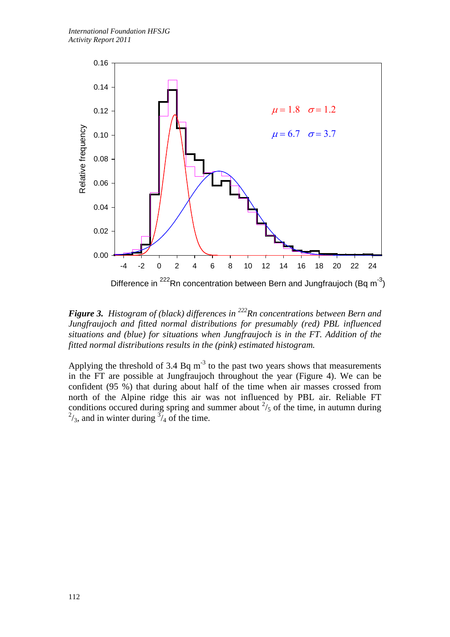

*Figure 3. Histogram of (black) differences in 222Rn concentrations between Bern and Jungfraujoch and fitted normal distributions for presumably (red) PBL influenced situations and (blue) for situations when Jungfraujoch is in the FT. Addition of the fitted normal distributions results in the (pink) estimated histogram.*

Applying the threshold of 3.4 Bq  $m^{-3}$  to the past two years shows that measurements in the FT are possible at Jungfraujoch throughout the year (Figure 4). We can be confident (95 %) that during about half of the time when air masses crossed from north of the Alpine ridge this air was not influenced by PBL air. Reliable FT conditions occured during spring and summer about  $\frac{2}{5}$  of the time, in autumn during  $^{2}/_{3}$ , and in winter during  $^{3}/_{4}$  of the time.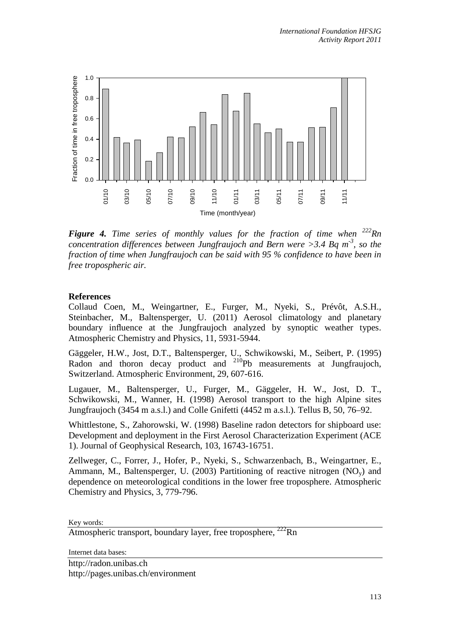

*Figure 4. Time series of monthly values for the fraction of time when* $^{222}$ *Rn concentration differences between Jungfraujoch and Bern were >3.4 Bq m<sup>-3</sup>, so the fraction of time when Jungfraujoch can be said with 95 % confidence to have been in free tropospheric air.* 

## **References**

Collaud Coen, M., Weingartner, E., Furger, M., Nyeki, S., Prévôt, A.S.H., Steinbacher, M., Baltensperger, U. (2011) Aerosol climatology and planetary boundary influence at the Jungfraujoch analyzed by synoptic weather types. Atmospheric Chemistry and Physics, 11, 5931-5944.

Gäggeler, H.W., Jost, D.T., Baltensperger, U., Schwikowski, M., Seibert, P. (1995) Radon and thoron decay product and <sup>210</sup>Pb measurements at Jungfraujoch, Switzerland. Atmospheric Environment, 29, 607-616.

Lugauer, M., Baltensperger, U., Furger, M., Gäggeler, H. W., Jost, D. T., Schwikowski, M., Wanner, H. (1998) Aerosol transport to the high Alpine sites Jungfraujoch (3454 m a.s.l.) and Colle Gnifetti (4452 m a.s.l.). Tellus B, 50, 76–92.

Whittlestone, S., Zahorowski, W. (1998) Baseline radon detectors for shipboard use: Development and deployment in the First Aerosol Characterization Experiment (ACE 1). Journal of Geophysical Research, 103, 16743-16751.

Zellweger, C., Forrer, J., Hofer, P., Nyeki, S., Schwarzenbach, B., Weingartner, E., Ammann, M., Baltensperger, U. (2003) Partitioning of reactive nitrogen  $(NO<sub>v</sub>)$  and dependence on meteorological conditions in the lower free troposphere. Atmospheric Chemistry and Physics, 3, 779-796.

Key words:

Atmospheric transport, boundary layer, free troposphere, <sup>222</sup>Rn

Internet data bases:

http://radon.unibas.ch http://pages.unibas.ch/environment